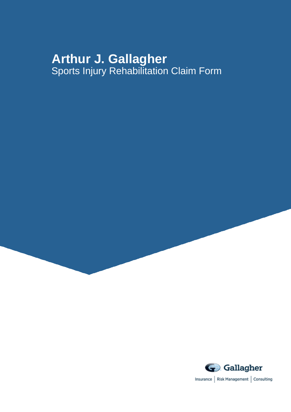# **Arthur J. Gallagher** Sports Injury Rehabilitation Claim Form

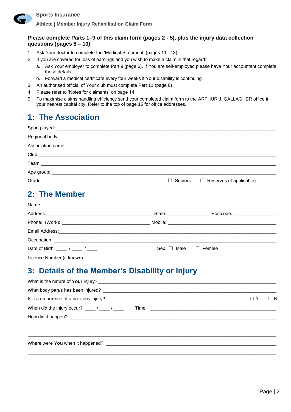

**Athlete | Member Injury Rehabilitation Claim Form**

### **Please complete Parts 1–9 of this claim form (pages 2 - 5), plus the injury data collection questions (pages 8 – 10)**

- 1. Ask Your doctor to complete the 'Medical Statement' (pages 11 13)
- 2. If you are covered for loss of earnings and you wish to make a claim in that regard:
	- a. Ask Your employer to complete Part 9 (page 6). If You are self-employed please have Your accountant complete these details
	- b. Forward a medical certificate every four weeks if Your disability is continuing
- 3. An authorised official of Your club must complete Part 11 (page 6)
- 4. Please refer to 'Notes for claimants' on page 14
- 5. To maximise claims handling efficiency send your completed claim form to the ARTHUR J. GALLAGHER office in your nearest capital city. Refer to the top of page 15 for office addresses.

## **1: The Association**

|  | $\Box$ Seniors $\Box$ Reserves (if applicable) |
|--|------------------------------------------------|

## **2: The Member**

|                                                              | State: $\frac{1}{2}$ State:    | Postcode: _________________ |  |
|--------------------------------------------------------------|--------------------------------|-----------------------------|--|
|                                                              |                                |                             |  |
|                                                              |                                |                             |  |
|                                                              |                                |                             |  |
| Date of Birth: $\frac{1}{2}$ / $\frac{1}{2}$ / $\frac{1}{2}$ | Sex: $\Box$ Male $\Box$ Female |                             |  |
|                                                              |                                |                             |  |

## **3: Details of the Member's Disability or Injury**

| Is it a recurrence of a previous injury?                                 | $\Box$ Y<br>$\sqcup$ N |
|--------------------------------------------------------------------------|------------------------|
| When did the injury occur? $\frac{1}{2}$ / $\frac{1}{2}$ / $\frac{1}{2}$ |                        |
|                                                                          |                        |
|                                                                          |                        |
|                                                                          |                        |

\_\_\_\_\_\_\_\_\_\_\_\_\_\_\_\_\_\_\_\_\_\_\_\_\_\_\_\_\_\_\_\_\_\_\_\_\_\_\_\_\_\_\_\_\_\_\_\_\_\_\_\_\_\_\_\_\_\_\_\_\_\_\_\_\_\_\_\_\_\_\_\_\_\_\_\_\_\_\_\_\_\_\_\_\_\_\_\_\_\_\_\_\_\_\_\_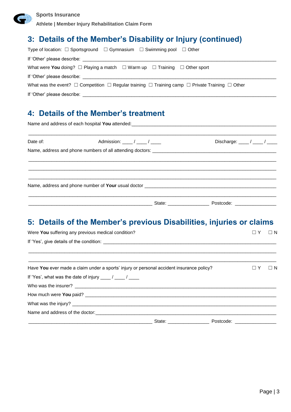**Athlete | Member Injury Rehabilitation Claim Form**

## **3: Details of the Member's Disability or Injury (continued)**

| Type of location: $\square$ Sportsground $\square$ Gymnasium $\square$ Swimming pool $\square$ Other                     |
|--------------------------------------------------------------------------------------------------------------------------|
|                                                                                                                          |
| What were You doing? $\Box$ Playing a match $\Box$ Warm up $\Box$ Training $\Box$ Other sport                            |
|                                                                                                                          |
| What was the event? $\Box$ Competition $\Box$ Regular training $\Box$ Training camp $\Box$ Private Training $\Box$ Other |
|                                                                                                                          |

## **4: Details of the Member's treatment**

| Date of: | Admission: $\frac{1}{2}$ / $\frac{1}{2}$ / $\frac{1}{2}$ | Discharge: $\frac{1}{\sqrt{2}}$ |  |  |  |
|----------|----------------------------------------------------------|---------------------------------|--|--|--|
|          |                                                          |                                 |  |  |  |
|          |                                                          |                                 |  |  |  |
|          |                                                          |                                 |  |  |  |
|          |                                                          |                                 |  |  |  |
|          |                                                          |                                 |  |  |  |

## **5: Details of the Member's previous Disabilities, injuries or claims**

| Were You suffering any previous medical condition?                                       |  |  |          | $\Box N$   |
|------------------------------------------------------------------------------------------|--|--|----------|------------|
|                                                                                          |  |  |          |            |
|                                                                                          |  |  |          |            |
| Have You ever made a claim under a sports' injury or personal accident insurance policy? |  |  | $\Box$ Y | $\sqcup$ N |
| If 'Yes', what was the date of injury $\frac{1}{\sqrt{2}}$ / $\frac{1}{\sqrt{2}}$        |  |  |          |            |
|                                                                                          |  |  |          |            |
|                                                                                          |  |  |          |            |
|                                                                                          |  |  |          |            |
|                                                                                          |  |  |          |            |
|                                                                                          |  |  |          |            |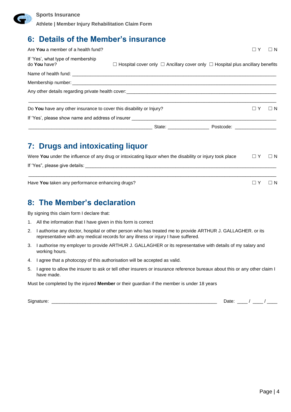

**Athlete | Member Injury Rehabilitation Claim Form**

## **6: Details of the Member's insurance**

| Are You a member of a health fund?                                  |                                                                                                                                                                                                                                  | $\Box$ Y<br>$\Box$ N |
|---------------------------------------------------------------------|----------------------------------------------------------------------------------------------------------------------------------------------------------------------------------------------------------------------------------|----------------------|
| If 'Yes', what type of membership<br>do You have?                   | $\Box$ Hospital cover only $\Box$ Ancillary cover only $\Box$ Hospital plus ancillary benefits                                                                                                                                   |                      |
|                                                                     |                                                                                                                                                                                                                                  |                      |
|                                                                     |                                                                                                                                                                                                                                  |                      |
|                                                                     | Any other details regarding private health cover:<br>example and the contract of the contract of the contract of the contract of the contract of the contract of the contract of the contract of the contract of the contract of |                      |
| Do You have any other insurance to cover this disability or Injury? |                                                                                                                                                                                                                                  | $\Box$ Y<br>$\Box$ N |
|                                                                     |                                                                                                                                                                                                                                  |                      |
| <u> 1989 - Jan Salaman Salaman (j. 1989)</u>                        |                                                                                                                                                                                                                                  |                      |

## **7: Drugs and intoxicating liquor**

| Were You under the influence of any drug or intoxicating liquor when the disability or injury took place | $\Box$ Y | $\Box$ N |
|----------------------------------------------------------------------------------------------------------|----------|----------|
| If 'Yes", please give details:                                                                           |          |          |

\_\_\_\_\_\_\_\_\_\_\_\_\_\_\_\_\_\_\_\_\_\_\_\_\_\_\_\_\_\_\_\_\_\_\_\_\_\_\_\_\_\_\_\_\_\_\_\_\_\_\_\_\_\_\_\_\_\_\_\_\_\_\_\_\_\_\_\_\_\_\_\_\_\_\_\_\_\_\_\_\_\_\_\_\_\_\_\_\_\_\_\_\_\_\_\_

Have **You** taken any performance enhancing drugs? ☐ Y ☐ N

## **8: The Member's declaration**

By signing this claim form I declare that:

- 1. All the information that I have given in this form is correct
- 2. I authorise any doctor, hospital or other person who has treated me to provide ARTHUR J. GALLAGHER. or its representative with any medical records for any illness or injury I have suffered.
- 3. I authorise my employer to provide ARTHUR J. GALLAGHER or its representative with details of my salary and working hours.
- 4. I agree that a photocopy of this authorisation will be accepted as valid.
- 5. I agree to allow the insurer to ask or tell other insurers or insurance reference bureaux about this or any other claim I have made.

Must be completed by the injured **Member** or their guardian if the member is under 18 years

Signature: \_\_\_\_\_\_\_\_\_\_\_\_\_\_\_\_\_\_\_\_\_\_\_\_\_\_\_\_\_\_\_\_\_\_\_\_\_\_\_\_\_\_\_\_\_\_\_\_\_\_\_\_\_\_\_\_\_\_\_\_\_\_\_\_ Date: \_\_\_\_ / \_\_\_\_ / \_\_\_\_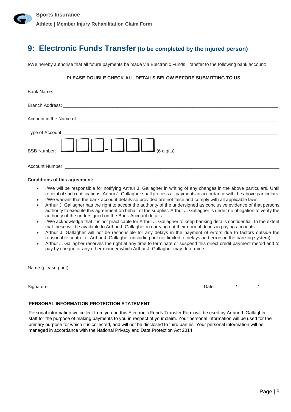## **9: Electronic Funds Transfer (to be completed by the injured person)**

I/We hereby authorise that all future payments be made via Electronic Funds Transfer to the following bank account:

### **PLEASE DOUBLE CHECK ALL DETAILS BELOW BEFORE SUBMITTING TO US**

| BSB Number: $\boxed{\phantom{121} \phantom{121} \phantom{121} \phantom{121} \phantom{121} \phantom{121} \phantom{121} \phantom{121} \phantom{121} \phantom{121} \phantom{121} \phantom{121} \phantom{121} \phantom{121} \phantom{121} \phantom{121} \phantom{121} \phantom{121} \phantom{121} \phantom{121} \phantom{121} \phantom{121} \phantom{121} \phantom{121} \phantom{121} \phantom{121$ |
|-------------------------------------------------------------------------------------------------------------------------------------------------------------------------------------------------------------------------------------------------------------------------------------------------------------------------------------------------------------------------------------------------|
|                                                                                                                                                                                                                                                                                                                                                                                                 |

### **Conditions of this agreement:**

- I/We will be responsible for notifying Arthur J. Gallagher in writing of any changes in the above particulars. Until receipt of such notifications, Arthur J. Gallagher shall process all payments in accordance with the above particulars.
- I/We warrant that the bank account details so provided are not false and comply with all applicable laws.
- Arthur J. Gallagher has the right to accept the authority of the undersigned as conclusive evidence of that persons authority to execute this agreement on behalf of the supplier. Arthur J. Gallagher is under no obligation to verify the authority of the undersigned on the Bank Account details.
- I/We acknowledge that it is not practicable for Arthur J. Gallagher to keep banking details confidential, to the extent that these will be available to Arthur J. Gallagher in carrying out their normal duties in paying accounts.
- Arthur J. Gallagher will not be responsible for any delays in the payment of errors due to factors outside the reasonable control of Arthur J. Gallagher (including but not limited to delays and errors in the banking system).
- Arthur J. Gallagher reserves the right at any time to terminate or suspend this direct credit payment metod and to pay by cheque or any other manner which Arthur J. Gallagher may determine.

| Name (please print): |  |  |  |
|----------------------|--|--|--|
|                      |  |  |  |
|                      |  |  |  |

Signature: \_\_\_\_\_\_\_\_\_\_\_\_\_\_\_\_\_\_\_\_\_\_\_\_\_\_\_\_\_\_\_\_\_\_\_\_\_\_\_\_\_\_\_\_\_\_\_\_\_\_\_\_\_\_\_\_\_\_\_ Date: \_\_\_\_\_\_\_ / \_\_\_\_\_\_\_ / \_\_\_\_\_\_\_

### **PERSONAL INFORMATION PROTECTION STATEMENT**

Personal information we collect from you on this Electronic Funds Transfer Form will be used by Arthur J. Gallagher staff for the purpose of making payments to you in respect of your claim. Your personal information will be used for the primary purpose for which it is collected, and will not be disclosed to third parties. Your personal information will be managed in accordance with the National Privacy and Data Protection Act 2014.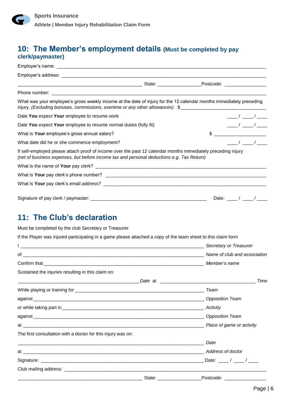### **10: The Member's employment details (Must be completed by pay clerk/paymaster)**

| What was your employee's gross weekly income at the date of injury for the 12 calendar months immediately preceding<br>injury. (Excluding bonuses, commissions, overtime or any other allowances) \$                           |         |                             |
|--------------------------------------------------------------------------------------------------------------------------------------------------------------------------------------------------------------------------------|---------|-----------------------------|
| Date You expect Your employee to resume work                                                                                                                                                                                   |         | $\frac{\frac{1}{2}}{2}$     |
| Date You expect Your employee to resume normal duties (fully fit)                                                                                                                                                              |         | $\frac{\frac{1}{2}}{2}$     |
| What is Your employee's gross annual salary?                                                                                                                                                                                   |         | $\qquad \qquad \bullet$     |
| What date did he or she commence employment?                                                                                                                                                                                   |         | $\frac{1}{2}$ $\frac{1}{2}$ |
| If self-employed please attach proof of income over the past 12 calendar months immediately preceding injury<br>(net of business expenses, but before income tax and personal deductions e.g. Tax Return)                      |         |                             |
|                                                                                                                                                                                                                                |         |                             |
|                                                                                                                                                                                                                                |         |                             |
|                                                                                                                                                                                                                                |         |                             |
|                                                                                                                                                                                                                                |         | Date: $\frac{1}{\sqrt{2}}$  |
| 11: The Club's declaration<br>Must be completed by the club Secretary or Treasurer                                                                                                                                             |         |                             |
| If the Player was injured participating in a game please attached a copy of the team sheet to this claim form                                                                                                                  |         |                             |
|                                                                                                                                                                                                                                |         |                             |
|                                                                                                                                                                                                                                |         |                             |
|                                                                                                                                                                                                                                |         |                             |
| Sustained the injuries resulting in this claim on:                                                                                                                                                                             |         |                             |
|                                                                                                                                                                                                                                | Date at | Time                        |
|                                                                                                                                                                                                                                |         | Team                        |
|                                                                                                                                                                                                                                |         | <b>Opposition Team</b>      |
|                                                                                                                                                                                                                                |         | Activity                    |
|                                                                                                                                                                                                                                |         | <b>Opposition Team</b>      |
| at and the contract of the contract of the contract of the contract of the contract of the contract of the contract of the contract of the contract of the contract of the contract of the contract of the contract of the con |         | Place of game or activity   |
| The first consultation with a doctor for this injury was on:                                                                                                                                                                   |         |                             |
|                                                                                                                                                                                                                                |         | Date                        |

\_\_\_\_\_\_\_\_\_\_\_\_\_\_\_\_\_\_\_\_\_\_\_\_\_\_\_\_\_\_\_\_\_\_\_\_\_\_\_\_\_\_\_\_\_\_\_\_ State: \_\_\_\_\_\_\_\_\_\_\_\_\_\_\_\_\_Postcode: \_\_\_\_\_\_\_\_\_\_\_\_\_\_\_\_

at \_\_\_\_\_\_\_\_\_\_\_\_\_\_\_\_\_\_\_\_\_\_\_\_\_\_\_\_\_\_\_\_\_\_\_\_\_\_\_\_\_\_\_\_\_\_\_\_\_\_\_\_\_\_\_\_\_\_\_\_\_\_\_\_\_\_\_\_\_\_ *Address of doctor*

Club mailing address: \_\_\_\_\_\_\_\_\_\_\_\_\_\_\_\_\_\_\_\_\_\_\_\_\_\_\_\_\_\_\_\_\_\_\_\_\_\_\_\_\_\_\_\_\_\_\_\_\_\_\_\_\_\_\_\_\_\_\_\_\_\_\_\_\_\_\_\_\_\_\_\_\_\_\_\_\_\_

Signature: \_\_\_\_\_\_\_\_\_\_\_\_\_\_\_\_\_\_\_\_\_\_\_\_\_\_\_\_\_\_\_\_\_\_\_\_\_\_\_\_\_\_\_\_\_\_\_\_\_\_\_\_\_\_\_\_\_\_\_\_\_\_\_ Date: \_\_\_\_ / \_\_\_\_ / \_\_\_\_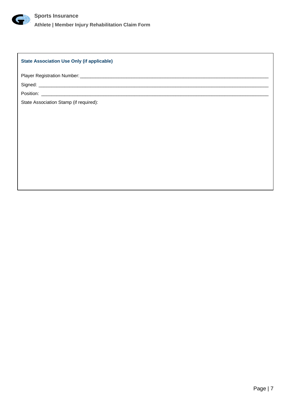

### **State Association Use Only (if applicable)**

Player Registration Number: \_\_\_\_\_\_\_\_\_\_\_\_\_\_\_\_\_\_\_\_\_\_\_\_\_\_\_\_\_\_\_\_\_\_\_\_\_\_\_\_\_\_\_\_\_\_\_\_\_\_\_\_\_\_\_\_\_\_\_\_\_\_\_\_\_\_\_\_\_\_\_\_\_

Signed: \_\_\_\_\_\_\_\_\_\_\_\_\_\_\_\_\_\_\_\_\_\_\_\_\_\_\_\_\_\_\_\_\_\_\_\_\_\_\_\_\_\_\_\_\_\_\_\_\_\_\_\_\_\_\_\_\_\_\_\_\_\_\_\_\_\_\_\_\_\_\_\_\_\_\_\_\_\_\_\_\_\_\_\_\_\_\_\_\_

Position: \_\_\_\_\_\_\_\_\_\_\_\_\_\_\_\_\_\_\_\_\_\_\_\_\_\_\_\_\_\_\_\_\_\_\_\_\_\_\_\_\_\_\_\_\_\_\_\_\_\_\_\_\_\_\_\_\_\_\_\_\_\_\_\_\_\_\_\_\_\_\_\_\_\_\_\_\_\_\_\_\_\_\_\_\_\_\_\_

State Association Stamp (if required):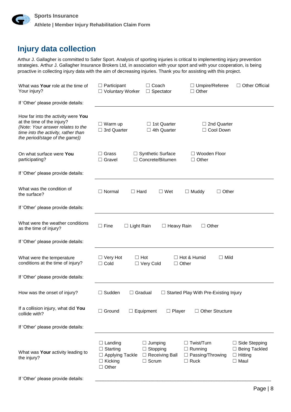

## **Injury data collection**

Arthur J. Gallagher is committed to Safer Sport. Analysis of sporting injuries is critical to implementing injury prevention strategies. Arthur J. Gallagher Insurance Brokers Ltd, in association with your sport and with your cooperation, is being proactive in collecting injury data with the aim of decreasing injuries. Thank you for assisting with this project.

| What was Your role at the time of<br>Your injury?                                                                                                                              | $\Box$ Participant<br>□ Voluntary Worker                                                      | $\Box$ Coach<br>$\Box$ Spectator                                           | $\Box$ Umpire/Referee<br>$\Box$ Other                                         | □ Other Official                                                         |
|--------------------------------------------------------------------------------------------------------------------------------------------------------------------------------|-----------------------------------------------------------------------------------------------|----------------------------------------------------------------------------|-------------------------------------------------------------------------------|--------------------------------------------------------------------------|
| If 'Other' please provide details:                                                                                                                                             |                                                                                               |                                                                            |                                                                               |                                                                          |
| How far into the activity were You<br>at the time of the injury?<br>(Note: Your answer relates to the<br>time into the activity, rather than<br>the period/stage of the game)) | $\Box$ Warm up<br>$\Box$ 3rd Quarter                                                          | $\Box$ 1st Quarter<br>$\Box$ 4th Quarter                                   | $\Box$ 2nd Quarter<br>□ Cool Down                                             |                                                                          |
| On what surface were You<br>participating?                                                                                                                                     | $\Box$ Grass<br>$\Box$ Gravel                                                                 | $\Box$ Synthetic Surface<br>□ Concrete/Bitumen                             | Wooden Floor<br>$\Box$ Other                                                  |                                                                          |
| If 'Other' please provide details:                                                                                                                                             |                                                                                               |                                                                            |                                                                               |                                                                          |
| What was the condition of<br>the surface?                                                                                                                                      | $\Box$ Normal<br>$\Box$ Hard                                                                  | $\Box$ Wet                                                                 | $\Box$ Muddy<br>$\Box$ Other                                                  |                                                                          |
| If 'Other' please provide details:                                                                                                                                             |                                                                                               |                                                                            |                                                                               |                                                                          |
| What were the weather conditions<br>as the time of injury?                                                                                                                     | $\Box$ Fine<br>$\Box$ Light Rain                                                              | $\Box$ Heavy Rain                                                          | $\Box$ Other                                                                  |                                                                          |
| If 'Other' please provide details:                                                                                                                                             |                                                                                               |                                                                            |                                                                               |                                                                          |
| What were the temperature<br>conditions at the time of injury?                                                                                                                 | $\Box$ Hot<br>$\Box$ Very Hot<br>$\Box$ Cold                                                  | □ Very Cold<br>$\Box$ Other                                                | $\Box$ Mild<br>$\Box$ Hot & Humid                                             |                                                                          |
| If 'Other' please provide details:                                                                                                                                             |                                                                                               |                                                                            |                                                                               |                                                                          |
| How was the onset of injury?                                                                                                                                                   | Sudden<br>$\Box$ Gradual<br>ш                                                                 |                                                                            | $\Box$ Started Play With Pre-Existing Injury                                  |                                                                          |
| If a collision injury, what did You<br>collide with?                                                                                                                           | $\Box$ Ground<br>$\Box$ Equipment                                                             | $\Box$ Player                                                              | $\Box$ Other Structure                                                        |                                                                          |
| If 'Other' please provide details:                                                                                                                                             |                                                                                               |                                                                            |                                                                               |                                                                          |
| What was Your activity leading to<br>the injury?<br>If 'Other' please provide details:                                                                                         | $\Box$ Landing<br>$\Box$ Starting<br>$\Box$ Applying Tackle<br>$\Box$ Kicking<br>$\Box$ Other | $\Box$ Jumping<br>$\Box$ Stopping<br>$\Box$ Receiving Ball<br>$\Box$ Scrum | $\Box$ Twist/Turn<br>$\Box$ Running<br>$\Box$ Passing/Throwing<br>$\Box$ Ruck | $\Box$ Side Stepping<br>□ Being Tackled<br>$\Box$ Hitting<br>$\Box$ Maul |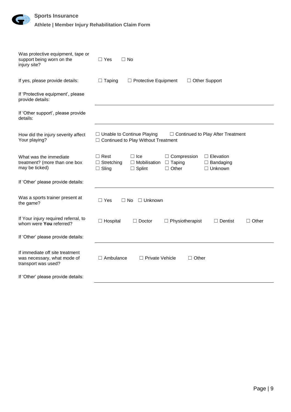| $\left( \downarrow \downarrow \right)$ | <b>Sports Insurance</b>                           |
|----------------------------------------|---------------------------------------------------|
|                                        | Athlete   Member Injury Rehabilitation Claim Form |

| Was protective equipment, tape or<br>support being worn on the<br>injury site?        | $\Box$ Yes<br>$\Box$ No                                                                                                                                                                                                 |  |  |  |
|---------------------------------------------------------------------------------------|-------------------------------------------------------------------------------------------------------------------------------------------------------------------------------------------------------------------------|--|--|--|
| If yes, please provide details:                                                       | $\Box$ Other Support<br>$\Box$ Taping<br>$\Box$ Protective Equipment                                                                                                                                                    |  |  |  |
| If 'Protective equipment', please<br>provide details:                                 |                                                                                                                                                                                                                         |  |  |  |
| If 'Other support', please provide<br>details:                                        |                                                                                                                                                                                                                         |  |  |  |
| How did the injury severity affect<br>Your playing?                                   | □ Unable to Continue Playing<br>$\Box$ Continued to Play After Treatment<br>□ Continued to Play Without Treatment                                                                                                       |  |  |  |
| What was the immediate<br>treatment? (more than one box<br>may be ticked)             | $\Box$ Rest<br>$\Box$ Ice<br>$\Box$ Compression<br>$\Box$ Elevation<br>$\Box$ Stretching<br>$\Box$ Mobilisation<br>$\Box$ Taping<br>$\Box$ Bandaging<br>$\Box$ Sling<br>$\Box$ Other<br>$\Box$ Splint<br>$\Box$ Unknown |  |  |  |
| If 'Other' please provide details:                                                    |                                                                                                                                                                                                                         |  |  |  |
| Was a sports trainer present at<br>the game?                                          | $\Box$ Yes<br>□ Unknown<br>$\Box$ No                                                                                                                                                                                    |  |  |  |
| If Your injury required referral, to<br>whom were You referred?                       | $\Box$ Hospital<br>$\Box$ Other<br>$\Box$ Doctor<br>$\Box$ Physiotherapist<br>$\Box$ Dentist                                                                                                                            |  |  |  |
| If 'Other' please provide details:                                                    |                                                                                                                                                                                                                         |  |  |  |
| If immediate off site treatment<br>was necessary, what mode of<br>transport was used? | $\Box$ Ambulance<br>$\Box$ Private Vehicle<br>$\Box$ Other                                                                                                                                                              |  |  |  |
| If 'Other' please provide details:                                                    |                                                                                                                                                                                                                         |  |  |  |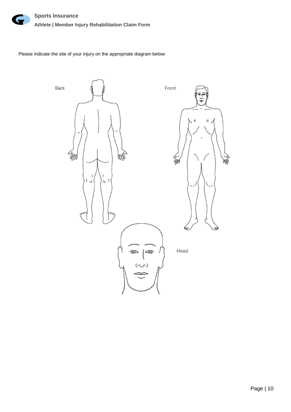

Please indicate the site of your injury on the appropriate diagram below:

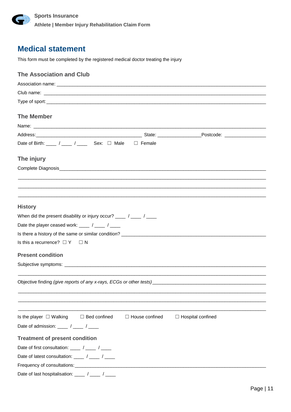

## **Medical statement**

This form must be completed by the registered medical doctor treating the injury

| <b>The Association and Club</b>                                                                                                                                                                                                                                                                                                                                                                        |  |  |  |  |  |  |  |
|--------------------------------------------------------------------------------------------------------------------------------------------------------------------------------------------------------------------------------------------------------------------------------------------------------------------------------------------------------------------------------------------------------|--|--|--|--|--|--|--|
|                                                                                                                                                                                                                                                                                                                                                                                                        |  |  |  |  |  |  |  |
|                                                                                                                                                                                                                                                                                                                                                                                                        |  |  |  |  |  |  |  |
|                                                                                                                                                                                                                                                                                                                                                                                                        |  |  |  |  |  |  |  |
| <b>The Member</b>                                                                                                                                                                                                                                                                                                                                                                                      |  |  |  |  |  |  |  |
|                                                                                                                                                                                                                                                                                                                                                                                                        |  |  |  |  |  |  |  |
|                                                                                                                                                                                                                                                                                                                                                                                                        |  |  |  |  |  |  |  |
|                                                                                                                                                                                                                                                                                                                                                                                                        |  |  |  |  |  |  |  |
| Date of Birth: ____ / ____ / ____ Sex: □ Male □ Female                                                                                                                                                                                                                                                                                                                                                 |  |  |  |  |  |  |  |
| The injury                                                                                                                                                                                                                                                                                                                                                                                             |  |  |  |  |  |  |  |
|                                                                                                                                                                                                                                                                                                                                                                                                        |  |  |  |  |  |  |  |
|                                                                                                                                                                                                                                                                                                                                                                                                        |  |  |  |  |  |  |  |
|                                                                                                                                                                                                                                                                                                                                                                                                        |  |  |  |  |  |  |  |
|                                                                                                                                                                                                                                                                                                                                                                                                        |  |  |  |  |  |  |  |
| <b>History</b>                                                                                                                                                                                                                                                                                                                                                                                         |  |  |  |  |  |  |  |
| When did the present disability or injury occur? ____ / ____ / ____                                                                                                                                                                                                                                                                                                                                    |  |  |  |  |  |  |  |
| Date the player ceased work: $\frac{1}{\sqrt{1-\frac{1}{1-\frac{1}{1-\frac{1}{1-\frac{1}{1-\frac{1}{1-\frac{1}{1-\frac{1}{1-\frac{1}{1-\frac{1}{1-\frac{1}{1-\frac{1}{1-\frac{1}{1-\frac{1}{1-\frac{1}{1-\frac{1}{1-\frac{1}{1-\frac{1}{1-\frac{1}{1-\frac{1}{1-\frac{1}{1-\frac{1}{1-\frac{1}{1-\frac{1}{1-\frac{1}{1-\frac{1}{1-\frac{1}{1-\frac{1}{1-\frac{1}{1-\frac{1}{1-\frac{1}{1-\frac$        |  |  |  |  |  |  |  |
|                                                                                                                                                                                                                                                                                                                                                                                                        |  |  |  |  |  |  |  |
| Is this a recurrence? $\square$ Y $\square$ N                                                                                                                                                                                                                                                                                                                                                          |  |  |  |  |  |  |  |
|                                                                                                                                                                                                                                                                                                                                                                                                        |  |  |  |  |  |  |  |
| <b>Present condition</b>                                                                                                                                                                                                                                                                                                                                                                               |  |  |  |  |  |  |  |
|                                                                                                                                                                                                                                                                                                                                                                                                        |  |  |  |  |  |  |  |
|                                                                                                                                                                                                                                                                                                                                                                                                        |  |  |  |  |  |  |  |
|                                                                                                                                                                                                                                                                                                                                                                                                        |  |  |  |  |  |  |  |
|                                                                                                                                                                                                                                                                                                                                                                                                        |  |  |  |  |  |  |  |
|                                                                                                                                                                                                                                                                                                                                                                                                        |  |  |  |  |  |  |  |
|                                                                                                                                                                                                                                                                                                                                                                                                        |  |  |  |  |  |  |  |
| Is the player $\Box$ Walking<br>$\Box$ Bed confined<br>$\Box$ House confined<br>$\Box$ Hospital confined                                                                                                                                                                                                                                                                                               |  |  |  |  |  |  |  |
| Date of admission: $\frac{1}{1-\frac{1}{1-\frac{1}{1-\frac{1}{1-\frac{1}{1-\frac{1}{1-\frac{1}{1-\frac{1}{1-\frac{1}{1-\frac{1}{1-\frac{1}{1-\frac{1}{1-\frac{1}{1-\frac{1}{1-\frac{1}{1-\frac{1}{1-\frac{1}{1-\frac{1}{1-\frac{1}{1-\frac{1}{1-\frac{1}{1-\frac{1}{1-\frac{1}{1-\frac{1}{1-\frac{1}{1-\frac{1}{1-\frac{1}{1-\frac{1}{1-\frac{1}{1-\frac{1}{1-\frac{1}{1-\frac{1}{1-\frac{1}{1-\frac{$ |  |  |  |  |  |  |  |
| <b>Treatment of present condition</b>                                                                                                                                                                                                                                                                                                                                                                  |  |  |  |  |  |  |  |
| Date of first consultation: $\frac{1}{\sqrt{1-\frac{1}{1-\frac{1}{1-\frac{1}{1-\frac{1}{1-\frac{1}{1-\frac{1}{1-\frac{1}{1-\frac{1}{1-\frac{1}{1-\frac{1}{1-\frac{1}{1-\frac{1}{1-\frac{1}{1-\frac{1}{1-\frac{1}{1-\frac{1}{1-\frac{1}{1-\frac{1}{1-\frac{1}{1-\frac{1}{1-\frac{1}{1-\frac{1}{1-\frac{1}{1-\frac{1}{1-\frac{1}{1-\frac{1}{1-\frac{1}{1-\frac{1}{1-\frac{1}{1-\frac{1}{1-\frac{$        |  |  |  |  |  |  |  |
| Date of latest consultation: _____ / _____ / _____                                                                                                                                                                                                                                                                                                                                                     |  |  |  |  |  |  |  |
|                                                                                                                                                                                                                                                                                                                                                                                                        |  |  |  |  |  |  |  |
| Date of last hospitalisation: _____ / ____ / _____                                                                                                                                                                                                                                                                                                                                                     |  |  |  |  |  |  |  |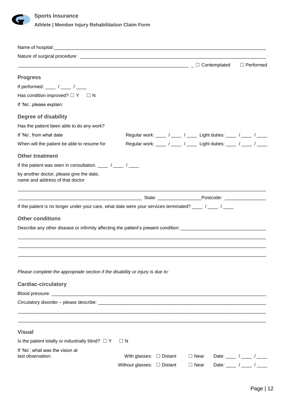

|                                                                                                                                                                                                                                      |                                 |                                                                   | □ Performed                                      |
|--------------------------------------------------------------------------------------------------------------------------------------------------------------------------------------------------------------------------------------|---------------------------------|-------------------------------------------------------------------|--------------------------------------------------|
| <b>Progress</b>                                                                                                                                                                                                                      |                                 |                                                                   |                                                  |
| If performed: ____ / ____ / ____                                                                                                                                                                                                     |                                 |                                                                   |                                                  |
| Has condition improved? $\Box Y \Box N$                                                                                                                                                                                              |                                 |                                                                   |                                                  |
| If 'No', please explain:                                                                                                                                                                                                             |                                 |                                                                   |                                                  |
| <b>Degree of disability</b>                                                                                                                                                                                                          |                                 |                                                                   |                                                  |
| Has the patient been able to do any work?                                                                                                                                                                                            |                                 |                                                                   |                                                  |
| If 'No', from what date                                                                                                                                                                                                              |                                 | Regular work: ____ / ____ / ____ Light duties: ____ / ____ / ____ |                                                  |
| When will the patient be able to resume for                                                                                                                                                                                          |                                 | Regular work: ____ / ____ / ____ Light duties: ____ / ____ / ____ |                                                  |
| <b>Other treatment</b>                                                                                                                                                                                                               |                                 |                                                                   |                                                  |
| If the patient was seen in consultation. _____ / _____ / _____                                                                                                                                                                       |                                 |                                                                   |                                                  |
| by another doctor, please give the date,<br>name and address of that doctor                                                                                                                                                          |                                 |                                                                   |                                                  |
|                                                                                                                                                                                                                                      |                                 |                                                                   |                                                  |
| If the patient is no longer under your care, what date were your services terminated? ____ / ____ / ____                                                                                                                             |                                 |                                                                   |                                                  |
| <b>Other conditions</b>                                                                                                                                                                                                              |                                 |                                                                   |                                                  |
| Describe any other disease or infirmity affecting the patient's present condition: <b>construct the patient of the strategy of the strategy of the strategy of the strategy of the strategy of the strategy of the strategy of t</b> |                                 |                                                                   |                                                  |
|                                                                                                                                                                                                                                      |                                 |                                                                   |                                                  |
|                                                                                                                                                                                                                                      |                                 |                                                                   |                                                  |
|                                                                                                                                                                                                                                      |                                 |                                                                   |                                                  |
|                                                                                                                                                                                                                                      |                                 |                                                                   |                                                  |
| Please complete the appropriate section if the disability or injury is due to:                                                                                                                                                       |                                 |                                                                   |                                                  |
| <b>Cardiac-circulatory</b>                                                                                                                                                                                                           |                                 |                                                                   |                                                  |
|                                                                                                                                                                                                                                      |                                 |                                                                   |                                                  |
| Circulatory disorder – please describe:<br>Circulatory disorder – please describe:                                                                                                                                                   |                                 |                                                                   |                                                  |
|                                                                                                                                                                                                                                      |                                 |                                                                   |                                                  |
|                                                                                                                                                                                                                                      |                                 |                                                                   |                                                  |
| <b>Visual</b>                                                                                                                                                                                                                        |                                 |                                                                   |                                                  |
| Is the patient totally or industrially blind? $\Box$ Y                                                                                                                                                                               | $\Box$ N                        |                                                                   |                                                  |
| If 'No', what was the vision at                                                                                                                                                                                                      |                                 |                                                                   |                                                  |
| last observation:                                                                                                                                                                                                                    | With glasses: $\Box$ Distant    | $\Box$ Near                                                       | Date: $\frac{1}{\sqrt{2\pi}}$ / _______ / ______ |
|                                                                                                                                                                                                                                      | Without glasses: $\Box$ Distant | $\Box$ Near                                                       | Date: $\frac{1}{\sqrt{2\pi}}$                    |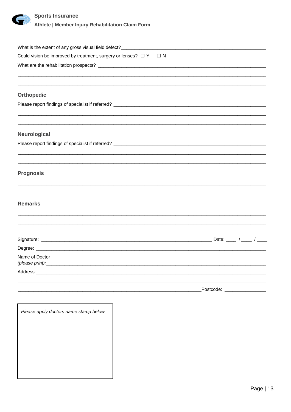

### **Sports Insurance**

Athlete | Member Injury Rehabilitation Claim Form

| Could vision be improved by treatment, surgery or lenses? $\Box Y \Box N$        |                               |  |
|----------------------------------------------------------------------------------|-------------------------------|--|
|                                                                                  |                               |  |
| <b>Orthopedic</b>                                                                |                               |  |
|                                                                                  |                               |  |
| Neurological                                                                     |                               |  |
| ,我们也不会有什么?""我们的人,我们也不会有什么?""我们的人,我们也不会有什么?""我们的人,我们也不会有什么?""我们的人,我们也不会有什么?""我们的人 |                               |  |
| <b>Prognosis</b>                                                                 |                               |  |
| <b>Remarks</b>                                                                   |                               |  |
|                                                                                  |                               |  |
|                                                                                  |                               |  |
| Name of Doctor<br>(please print):________                                        |                               |  |
| Address:                                                                         |                               |  |
|                                                                                  | Postcode: ___________________ |  |
| Please apply doctors name stamp below                                            |                               |  |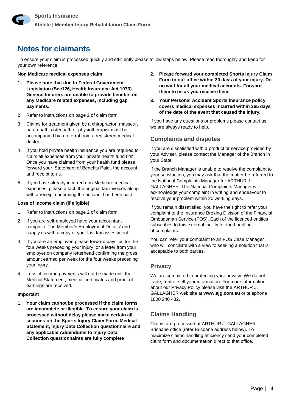## **Notes for claimants**

To ensure your claim is processed quickly and efficiently please follow steps below. Please read thoroughly and keep for your own reference.

### **Non Medicare medical expenses claim**

- **1. Please note that due to Federal Government Legislation (Sec126, Health Insurance Act 1973) General Insurers are unable to provide benefits on any Medicare related expenses, including gap payments.**
- 2. Refer to instructions on page 2 of claim form.
- 3. Claims for treatment given by a chiropractor, masseur, naturopath, osteopath or physiotherapist must be accompanied by a referral from a registered medical doctor.
- 4. If you hold private health insurance you are required to claim all expenses from your private health fund first. Once you have claimed from your health fund please forward your 'Statement of Benefits Paid', the account and receipt to us.
- 5. If you have already incurred non-Medicare medical expenses, please attach the original tax invoices along with a receipt confirming the account has been paid.

### **Loss of income claim (if eligible)**

- 1. Refer to instructions on page 2 of claim form.
- 2. If you are self-employed have your accountant complete 'The Member's Employment Details' and supply us with a copy of your last tax assessment.
- 3. If you are an employee please forward payslips for the four weeks preceding your injury, or a letter from your employer on company letterhead confirming the gross amount earned per week for the four weeks preceding your injury.
- 4. Loss of income payments will not be made until the Medical Statement, medical certificates and proof of earnings are received.

### **Important**

**1. Your claim cannot be processed if the claim forms are incomplete or illegible. To ensure your claim is processed without delay please make certain all sections on the Sports Injury Claim Form, Medical Statement, Injury Data Collection questionnaire and any applicable Addendums to Injury Data Collection questionnaires are fully complete**

- **2. Please forward your completed Sports Injury Claim Form to our office within 30 days of your injury. Do no wait for all your medical accounts. Forward them to us as you receive them.**
- **3. Your Personal Accident Sports insurance policy covers medical expenses incurred within 365 days of the date of the event that caused the injury.**

If you have any questions or problems please contact us, we are always ready to help.

### **Complaints and disputes**

If you are dissatisfied with a product or service provided by your Adviser, please contact the Manager of the Branch in your State.

If the Branch Manager is unable to resolve the complaint to your satisfaction, you may ask that the matter be referred to the National Complaints Manager for ARTHUR J. GALLAGHER. The National Complaints Manager will acknowledge your complaint in writing and endeavour to resolve your problem within 20 working days.

If you remain dissatisfied, you have the right to refer your complaint to the Insurance Broking Division of the Financial Ombudsman Service (FOS). Each of the licenced entities subscribes to this external facility for the handling of complaints.

You can refer your complaint to an FOS Case Manager who will conciliate with a view to seeking a solution that is acceptable to both parties.

### **Privacy**

We are committed to protecting your privacy. We do not trade, rent or sell your information. For more information about our Privacy Policy please visit the ARTHUR J. GALLAGHER web site at **www.ajg.com.au** or telephone 1800 240 432.

### **Claims Handling**

Claims are processed at ARTHUR J. GALLAGHER Brisbane office (refer Brisbane address below). To maximize claims handling efficiency send your completed claim form and documentation direct to that office.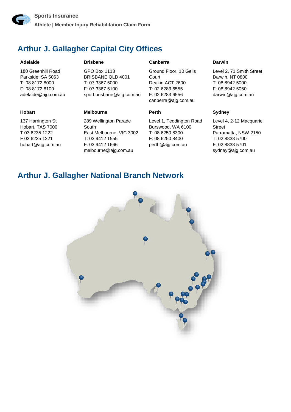

## **Arthur J. Gallagher Capital City Offices**

#### **Adelaide**

180 Greenhill Road Parkside, SA 5063 T: 08 8172 8000 F: 08 8172 8100 adelaide@ajg.com.au **Brisbane** 

GPO Box 1113 BRISBANE QLD 4001 T: 07 3367 5000 F: 07 3367 5100 sport.brisbane@ajg.com.au

#### **Hobart**

137 Harrington St Hobart, TAS 7000 T 03 6235 1222 F 03 6235 1221 hobart@ajg.com.au

#### **Melbourne**

289 Wellington Parade South East Melbourne, VIC 3002 T: 03 9412 1555 F: 03 9412 1666 melbourne@ajg.com.au

#### **Canberra**

Ground Floor, 10 Geils **Court** Deakin ACT 2600 T: 02 6283 6555 F: 02 6283 6556 canberra@ajg.com.au

#### **Perth**

Level 1, Teddington Road Burswood, WA 6100 T: 08 6250 8300 F: 08 6250 8400 perth@ajg.com.au

#### **Darwin**

Level 2, 71 Smith Street Darwin, NT 0800 T: 08 8942 5000 F: 08 8942 5050 darwin@ajg.com.au

#### **Sydney**

Level 4, 2-12 Macquarie Street Parramatta, NSW 2150 T: 02 8838 5700 F: 02 8838 5701 sydney@ajg.com.au

### **Arthur J. Gallagher National Branch Network**